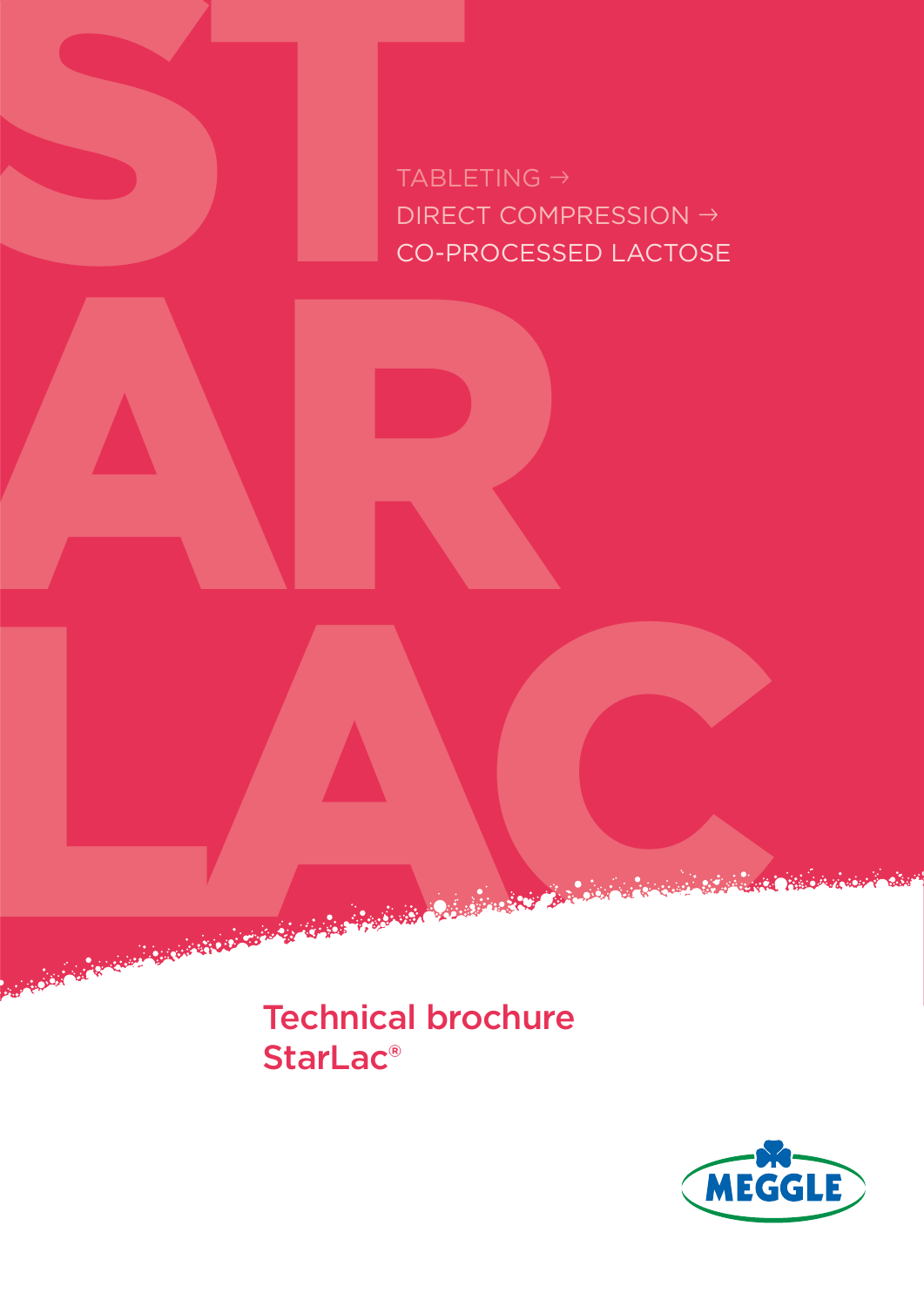TABLE<br>DIREC<br>CO-PR TABLETING → DIRECT COMPRESSION → CO-PROCESSED LACTOSE

RACIO DE LA CARDINAL Technical brochure **StarLac®** 

AR

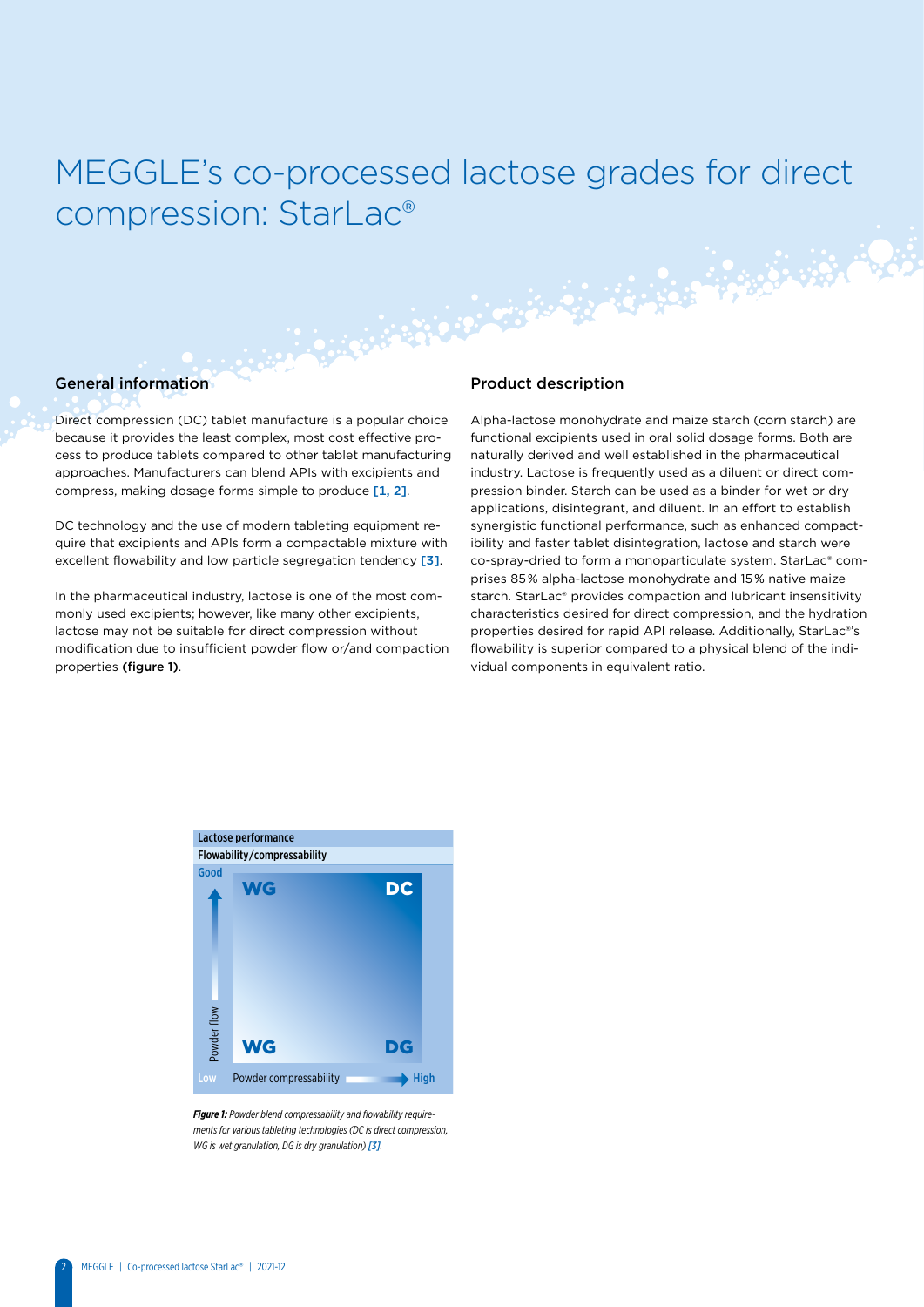# MEGGLE's co-processed lactose grades for direct compression: StarLac®<br>المُعْلَمُ المُحْمَّدِينَ المُحْمَّدِينَ المُحَمَّدِينَ المُحَمَّدِينَ المُحَمَّدِينَ المُحَمَّدِينَ المُحَمَّ<br>المُحَمَّدِينَ المُحَمَّدِينَ المُحَمَّدِينَ المُحَمَّدِينَ المُحَمَّدِينَ المُحَمَّدِينَ

# General information

Direct compression (DC) tablet manufacture is a popular choice because it provides the least complex, most cost effective process to produce tablets compared to other tablet manufacturing approaches. Manufacturers can blend APIs with excipients and compress, making dosage forms simple to produce [1, 2].

DC technology and the use of modern tableting equipment require that excipients and APIs form a compactable mixture with excellent flowability and low particle segregation tendency [3].

In the pharmaceutical industry, lactose is one of the most commonly used excipients; however, like many other excipients, lactose may not be suitable for direct compression without modification due to insufficient powder flow or/and compaction properties (figure 1).

### Product description

Alpha-lactose monohydrate and maize starch (corn starch) are functional excipients used in oral solid dosage forms. Both are naturally derived and well established in the pharmaceutical industry. Lactose is frequently used as a diluent or direct compression binder. Starch can be used as a binder for wet or dry applications, disintegrant, and diluent. In an effort to establish synergistic functional performance, such as enhanced compactibility and faster tablet disintegration, lactose and starch were co-spray-dried to form a monoparticulate system. StarLac® comprises 85 % alpha-lactose monohydrate and 15 % native maize starch. StarLac® provides compaction and lubricant insensitivity characteristics desired for direct compression, and the hydration properties desired for rapid API release. Additionally, StarLac®'s flowability is superior compared to a physical blend of the individual components in equivalent ratio.



*Figure 1: Powder blend compressability and flowability requirements for various tableting technologies (DC is direct compression, WG is wet granulation, DG is dry granulation)* [3].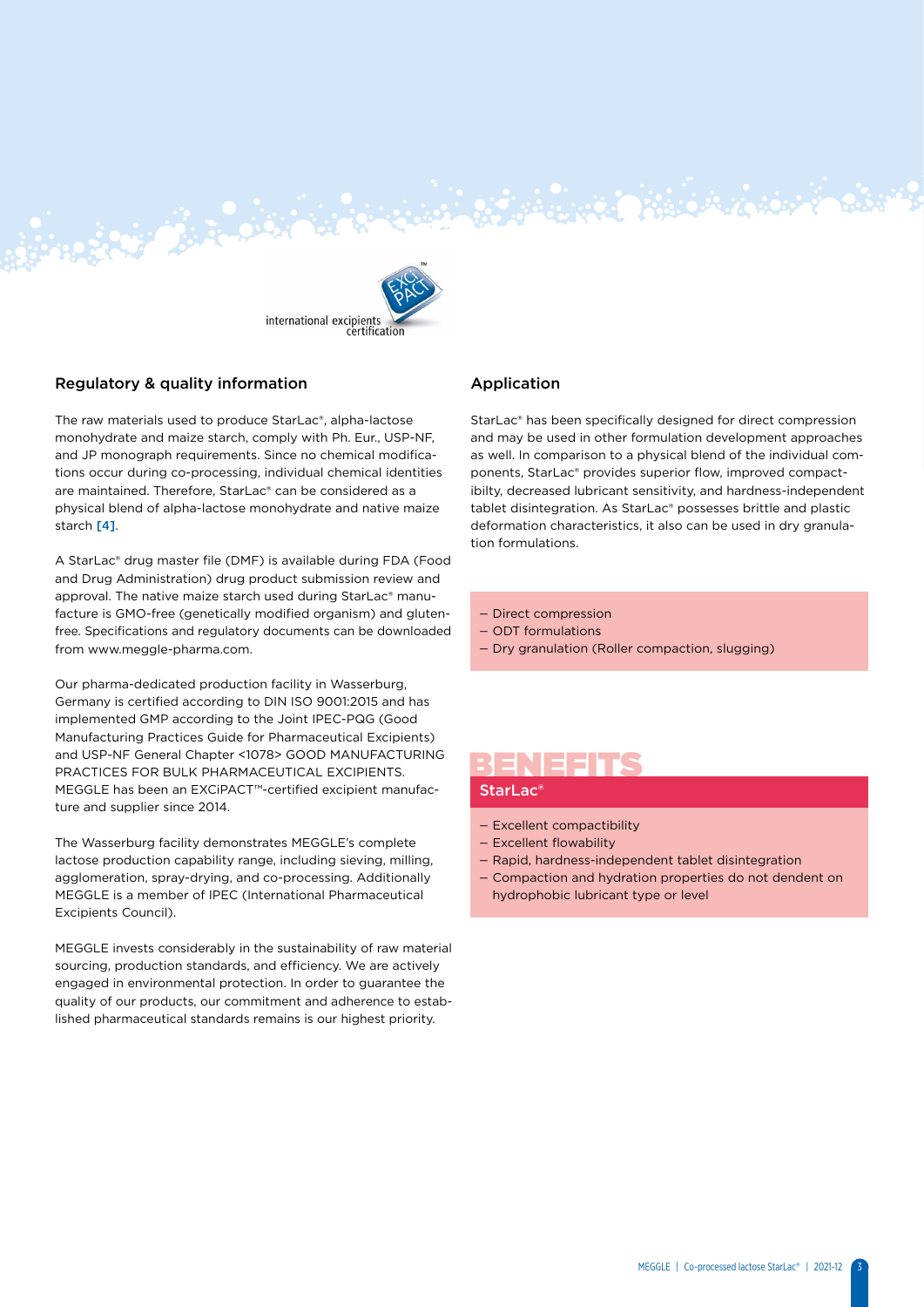international excipient

# Regulatory & quality information

RANGER OF

The raw materials used to produce StarLac®, alpha-lactose monohydrate and maize starch, comply with Ph. Eur., USP-NF, and JP monograph requirements. Since no chemical modifications occur during co-processing, individual chemical identities are maintained. Therefore, StarLac® can be considered as a physical blend of alpha-lactose monohydrate and native maize starch [4].

A StarLac® drug master file (DMF) is available during FDA (Food and Drug Administration) drug product submission review and approval. The native maize starch used during StarLac® manufacture is GMO-free (genetically modified organism) and glutenfree. Specifications and regulatory documents can be downloaded from www.meggle-pharma.com.

Our pharma-dedicated production facility in Wasserburg, Germany is certified according to DIN ISO 9001:2015 and has implemented GMP according to the Joint IPEC-PQG (Good Manufacturing Practices Guide for Pharmaceutical Excipients) and USP-NF General Chapter <1078> GOOD MANUFACTURING PRACTICES FOR BULK PHARMACEUTICAL EXCIPIENTS. MEGGLE has been an EXCiPACT™-certified excipient manufacture and supplier since 2014.

The Wasserburg facility demonstrates MEGGLE's complete lactose production capability range, including sieving, milling, agglomeration, spray-drying, and co-processing. Additionally MEGGLE is a member of IPEC (International Pharmaceutical Excipients Council).

MEGGLE invests considerably in the sustainability of raw material sourcing, production standards, and efficiency. We are actively engaged in environmental protection. In order to guarantee the quality of our products, our commitment and adherence to established pharmaceutical standards remains is our highest priority.

# Application

StarLac® has been specifically designed for direct compression and may be used in other formulation development approaches as well. In comparison to a physical blend of the individual components, StarLac® provides superior flow, improved compactibilty, decreased lubricant sensitivity, and hardness-independent tablet disintegration. As StarLac® possesses brittle and plastic deformation characteristics, it also can be used in dry granulation formulations.

- Direct compression
- ODT formulations
- Dry granulation (Roller compaction, slugging)

# BENEFITS

# StarLac<sup>®</sup>

- Excellent compactibility
- Excellent flowability
- Rapid, hardness-independent tablet disintegration
- Compaction and hydration properties do not dendent on hydrophobic lubricant type or level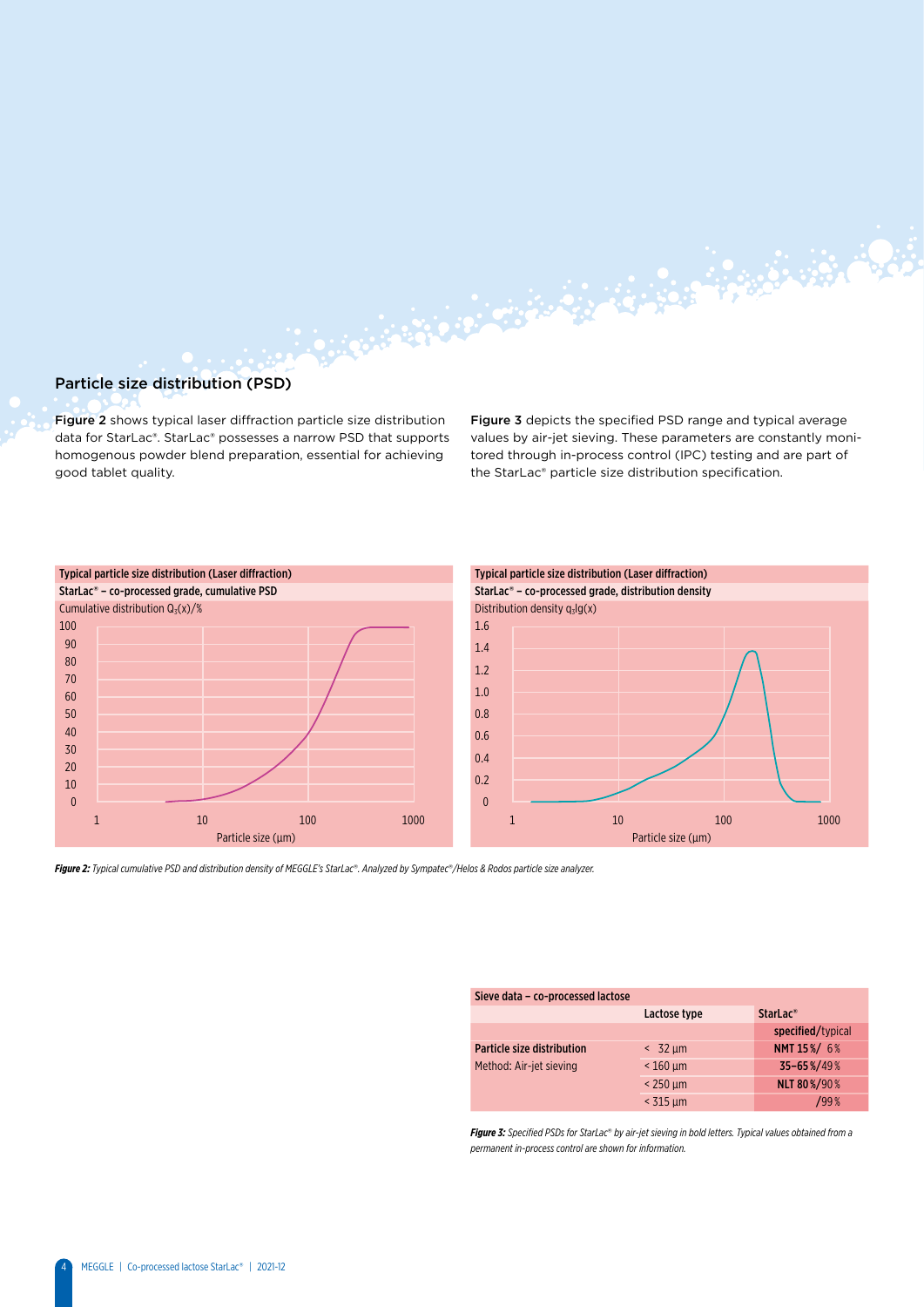# Particle size distribution (PSD)

Figure 2 shows typical laser diffraction particle size distribution data for StarLac®. StarLac® possesses a narrow PSD that supports homogenous powder blend preparation, essential for achieving good tablet quality.

Figure 3 depicts the specified PSD range and typical average values by air-jet sieving. These parameters are constantly monitored through in-process control (IPC) testing and are part of the StarLac® particle size distribution specification.

ARTICLE IN THE REAL PROPERTY OF PERSONS AND THE REAL PROPERTY.





*Figure 2: Typical cumulative PSD and distribution density of MEGGLE's StarLac*®*. Analyzed by Sympatec*®*/Helos & Rodos particle size analyzer.*

| Sieve data - co-processed lactose |                 |                      |
|-----------------------------------|-----------------|----------------------|
|                                   | Lactose type    | StarLac <sup>®</sup> |
|                                   |                 | specified/typical    |
| Particle size distribution        | $<$ 32 $\mu$ m  | NMT 15%/ 6%          |
| Method: Air-jet sieving           | $< 160 \mu m$   | 35-65%/49%           |
|                                   | $<$ 250 $\mu$ m | NLT 80%/90%          |
|                                   | $<$ 315 $\mu$ m | /99%                 |

*Figure 3: Specified PSDs for StarLac*® *by air-jet sieving in bold letters. Typical values obtained from a permanent in-process control are shown for information.*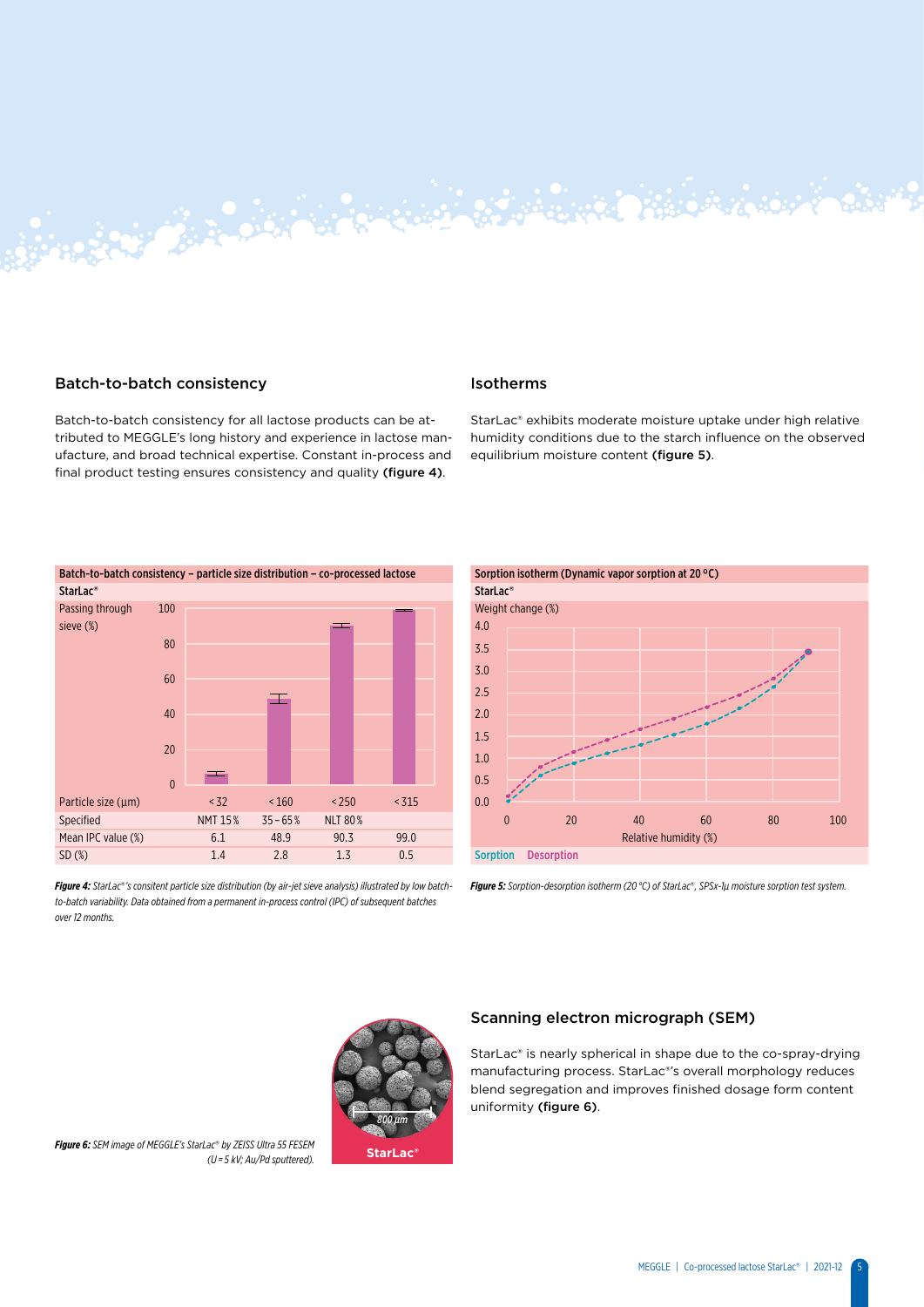# Batch-to-batch consistency

Batch-to-batch consistency for all lactose products can be attributed to MEGGLE's long history and experience in lactose manufacture, and broad technical expertise. Constant in-process and final product testing ensures consistency and quality (figure 4).

Single of the Court of Company

# Isotherms

StarLac® exhibits moderate moisture uptake under high relative humidity conditions due to the starch influence on the observed equilibrium moisture content (figure 5).



**Figure 4:** StarLac®'s consitent particle size distribution (by air-jet sieve analysis) illustrated by low batch-**Figure 5:** Sorption-desorption isotherm (20 °C) of StarLac®, SPSx-1µ moisture sorption test system. *time period of 12 months. to-batch variability. Data obtained from a permanent in-process control (IPC) of subsequent batches over 12 months.*





#### Scanning electron micrograph (SEM)

StarLac® is nearly spherical in shape due to the co-spray-drying manufacturing process. StarLac®'s overall morphology reduces blend segregation and improves finished dosage form content uniformity (figure 6).

*Figure 6: SEM image of MEGGLE's StarLac*® *by ZEISS Ultra 55 FESEM (U = 5 kV; Au/Pd sputtered).*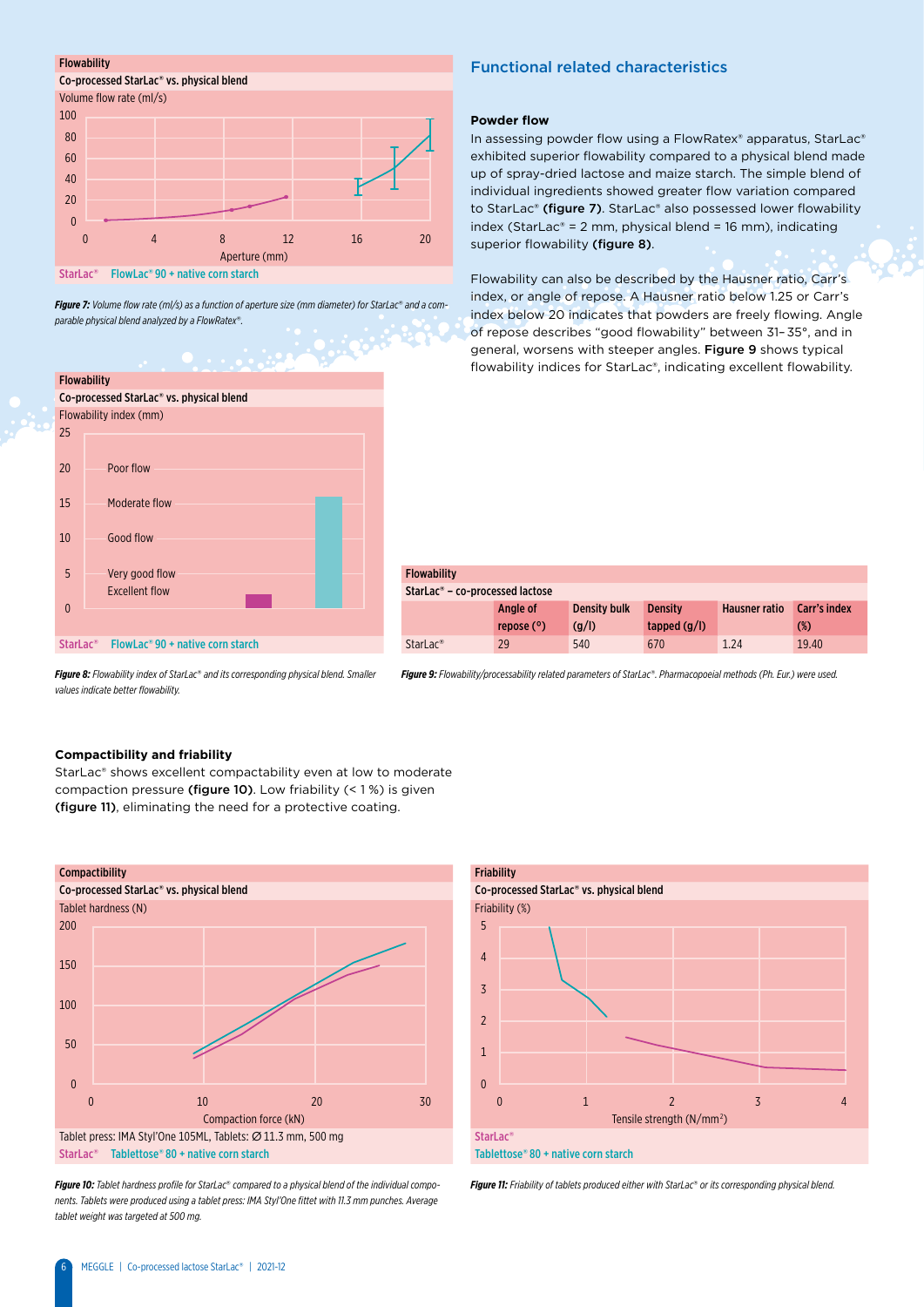#### Flowability



StarLac® FlowLac® 90 + native corn starch

*Figure 7: Volume flow rate (ml/s) as a function of aperture size (mm diameter) for StarLac*® *and a comparable physical blend analyzed by a FlowRatex*®*.*

#### **Flowability**



#### Functional related characteristics

#### **Powder flow**

In assessing powder flow using a FlowRatex® apparatus, StarLac® exhibited superior flowability compared to a physical blend made up of spray-dried lactose and maize starch. The simple blend of individual ingredients showed greater flow variation compared to StarLac® (figure 7). StarLac® also possessed lower flowability index (StarLac® = 2 mm, physical blend = 16 mm), indicating superior flowability (figure 8).

Flowability can also be described by the Hausner ratio, Carr's index, or angle of repose. A Hausner ratio below 1.25 or Carr's index below 20 indicates that powders are freely flowing. Angle of repose describes "good flowability" between 31– 35°, and in general, worsens with steeper angles. Figure 9 shows typical flowability indices for StarLac®, indicating excellent flowability.

| <b>Flowability</b>                          |              |              |                |                      |              |
|---------------------------------------------|--------------|--------------|----------------|----------------------|--------------|
| StarLac <sup>®</sup> – co-processed lactose |              |              |                |                      |              |
|                                             | Angle of     | Density bulk | <b>Density</b> | <b>Hausner ratio</b> | Carr's index |
|                                             | repose $(°)$ | (q/l)        | tapped $(q/l)$ |                      | $(\%)$       |
| StarLac <sup>®</sup>                        | 29           | 540          | 670            | 1.24                 | 19.40        |

*Figure 8: Flowability index of StarLac*® *and its corresponding physical blend. Smaller values indicate better flowability. Figure 9: Flowability/processability related parameters of StarLac*®*. Pharmacopoeial methods (Ph. Eur.) were used.*

#### **Compactibility and friability**

StarLac® shows excellent compactability even at low to moderate compaction pressure (figure 10). Low friability (< 1 %) is given (figure 11), eliminating the need for a protective coating.



*Figure 10: Tablet hardness profile for StarLac*® *compared to a physical blend of the individual components. Tablets were produced using a tablet press: IMA Styl'One fittet with 11.3 mm punches. Average tablet weight was targeted at 500 mg.*



*Figure 11: Friability of tablets produced either with StarLac*® *or its corresponding physical blend.*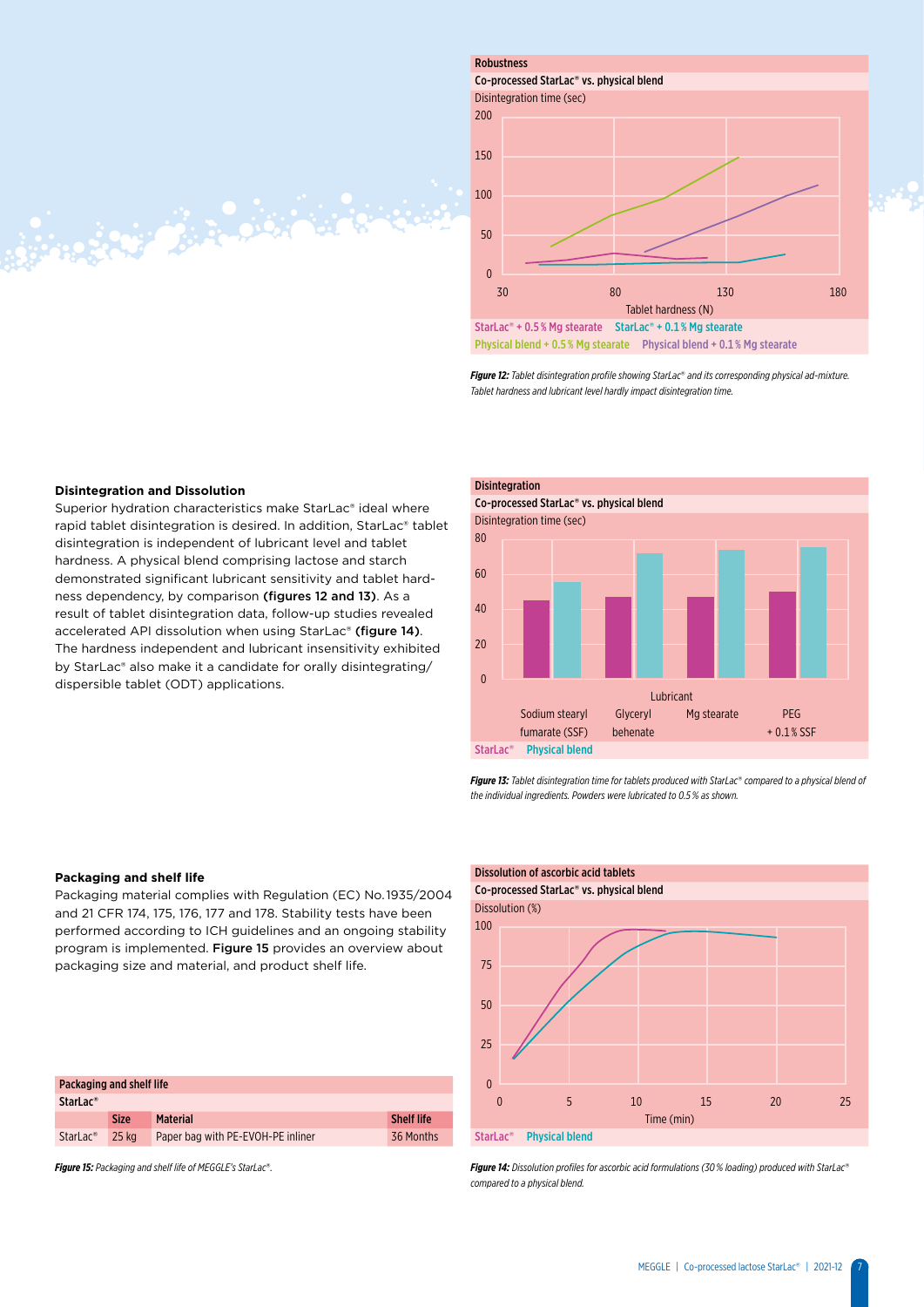

Physical blend + 0.5 % Mg stearate Physical blend + 0.1 % Mg stearate

*Figure 12: Tablet disintegration profile showing StarLac*® *and its corresponding physical ad-mixture. Tablet hardness and lubricant level hardly impact disintegration time.*

#### **Disintegration and Dissolution**

RANGER AND COMPANY

Superior hydration characteristics make StarLac® ideal where rapid tablet disintegration is desired. In addition, StarLac® tablet disintegration is independent of lubricant level and tablet hardness. A physical blend comprising lactose and starch demonstrated significant lubricant sensitivity and tablet hardness dependency, by comparison (figures 12 and 13). As a result of tablet disintegration data, follow-up studies revealed accelerated API dissolution when using StarLac® (figure 14). The hardness independent and lubricant insensitivity exhibited by StarLac® also make it a candidate for orally disintegrating/ dispersible tablet (ODT) applications.



*Figure 13: Tablet disintegration time for tablets produced with StarLac*® *compared to a physical blend of the individual ingredients. Powders were lubricated to 0.5 % as shown.*

#### **Packaging and shelf life**

Packaging material complies with Regulation (EC) No. 1935/2004 and 21 CFR 174, 175, 176, 177 and 178. Stability tests have been performed according to ICH guidelines and an ongoing stability program is implemented. Figure 15 provides an overview about packaging size and material, and product shelf life.

| <b>Packaging and shelf life</b> |       |                                   |                   |
|---------------------------------|-------|-----------------------------------|-------------------|
| StarLac <sup>®</sup>            |       |                                   |                   |
|                                 | Size: | <b>Material</b>                   | <b>Shelf life</b> |
| StarLac <sup>®</sup>            | 25 ka | Paper bag with PE-EVOH-PE inliner | 36 Months         |



*Figure 15: Packaging and shelf life of MEGGLE's StarLac*®*. Figure 14: Dissolution profiles for ascorbic acid formulations (30 % loading) produced with StarLac*® *compared to a physical blend.*

7